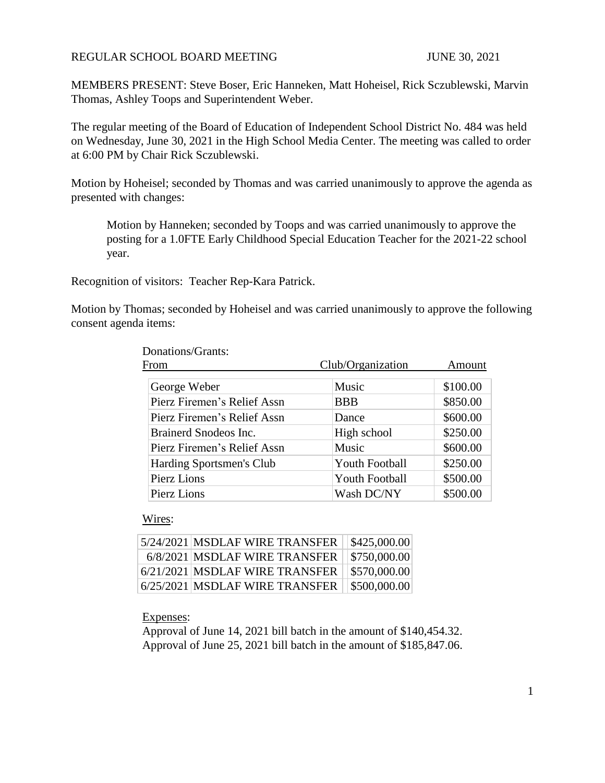#### REGULAR SCHOOL BOARD MEETING JUNE 30, 2021

MEMBERS PRESENT: Steve Boser, Eric Hanneken, Matt Hoheisel, Rick Sczublewski, Marvin Thomas, Ashley Toops and Superintendent Weber.

The regular meeting of the Board of Education of Independent School District No. 484 was held on Wednesday, June 30, 2021 in the High School Media Center. The meeting was called to order at 6:00 PM by Chair Rick Sczublewski.

Motion by Hoheisel; seconded by Thomas and was carried unanimously to approve the agenda as presented with changes:

Motion by Hanneken; seconded by Toops and was carried unanimously to approve the posting for a 1.0FTE Early Childhood Special Education Teacher for the 2021-22 school year.

Recognition of visitors: Teacher Rep-Kara Patrick.

Motion by Thomas; seconded by Hoheisel and was carried unanimously to approve the following consent agenda items:

| From                        | Club/Organization     | Amount   |
|-----------------------------|-----------------------|----------|
| George Weber                | Music                 | \$100.00 |
| Pierz Firemen's Relief Assn | <b>BBB</b>            | \$850.00 |
| Pierz Firemen's Relief Assn | Dance                 | \$600.00 |
| Brainerd Snodeos Inc.       | High school           | \$250.00 |
| Pierz Firemen's Relief Assn | Music                 | \$600.00 |
| Harding Sportsmen's Club    | <b>Youth Football</b> | \$250.00 |
| Pierz Lions                 | <b>Youth Football</b> | \$500.00 |
| Pierz Lions                 | Wash DC/NY            | \$500.00 |

Donations/Grants:

Wires:

| 5/24/2021 MSDLAF WIRE TRANSFER | \$425,000.00 |
|--------------------------------|--------------|
| 6/8/2021 MSDLAF WIRE TRANSFER  | \$750,000.00 |
| 6/21/2021 MSDLAF WIRE TRANSFER | \$570,000.00 |
| 6/25/2021 MSDLAF WIRE TRANSFER | \$500,000.00 |

Expenses:

Approval of June 14, 2021 bill batch in the amount of \$140,454.32. Approval of June 25, 2021 bill batch in the amount of \$185,847.06.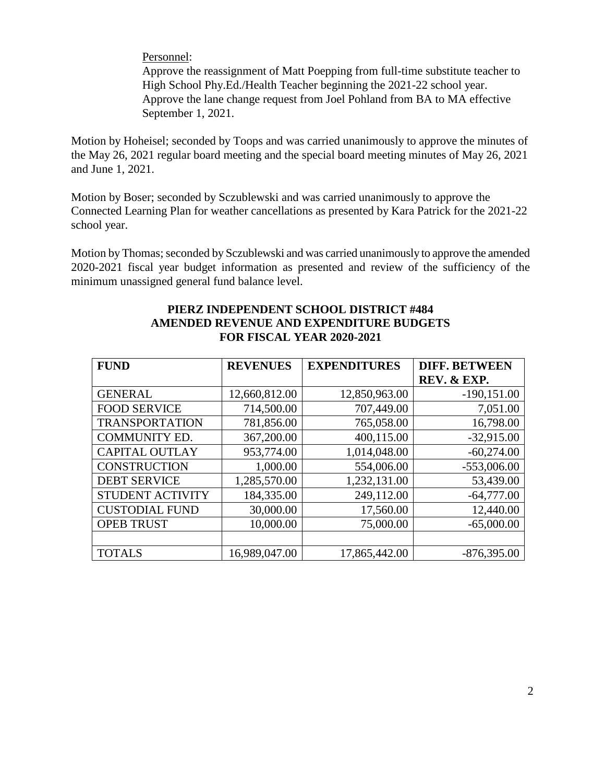Personnel:

Approve the reassignment of Matt Poepping from full-time substitute teacher to High School Phy.Ed./Health Teacher beginning the 2021-22 school year. Approve the lane change request from Joel Pohland from BA to MA effective September 1, 2021.

Motion by Hoheisel; seconded by Toops and was carried unanimously to approve the minutes of the May 26, 2021 regular board meeting and the special board meeting minutes of May 26, 2021 and June 1, 2021.

Motion by Boser; seconded by Sczublewski and was carried unanimously to approve the Connected Learning Plan for weather cancellations as presented by Kara Patrick for the 2021-22 school year.

Motion by Thomas; seconded by Sczublewski and was carried unanimously to approve the amended 2020-2021 fiscal year budget information as presented and review of the sufficiency of the minimum unassigned general fund balance level.

| <b>FUND</b>             | <b>REVENUES</b> | <b>EXPENDITURES</b> | <b>DIFF. BETWEEN</b> |
|-------------------------|-----------------|---------------------|----------------------|
|                         |                 |                     | REV. & EXP.          |
| <b>GENERAL</b>          | 12,660,812.00   | 12,850,963.00       | $-190, 151.00$       |
| <b>FOOD SERVICE</b>     | 714,500.00      | 707,449.00          | 7,051.00             |
| <b>TRANSPORTATION</b>   | 781,856.00      | 765,058.00          | 16,798.00            |
| <b>COMMUNITY ED.</b>    | 367,200.00      | 400,115.00          | $-32,915.00$         |
| <b>CAPITAL OUTLAY</b>   | 953,774.00      | 1,014,048.00        | $-60,274.00$         |
| <b>CONSTRUCTION</b>     | 1,000.00        | 554,006.00          | $-553,006.00$        |
| <b>DEBT SERVICE</b>     | 1,285,570.00    | 1,232,131.00        | 53,439.00            |
| <b>STUDENT ACTIVITY</b> | 184,335.00      | 249,112.00          | $-64,777.00$         |
| <b>CUSTODIAL FUND</b>   | 30,000.00       | 17,560.00           | 12,440.00            |
| <b>OPEB TRUST</b>       | 10,000.00       | 75,000.00           | $-65,000.00$         |
|                         |                 |                     |                      |
| <b>TOTALS</b>           | 16,989,047.00   | 17,865,442.00       | $-876,395.00$        |

### **PIERZ INDEPENDENT SCHOOL DISTRICT #484 AMENDED REVENUE AND EXPENDITURE BUDGETS FOR FISCAL YEAR 2020-2021**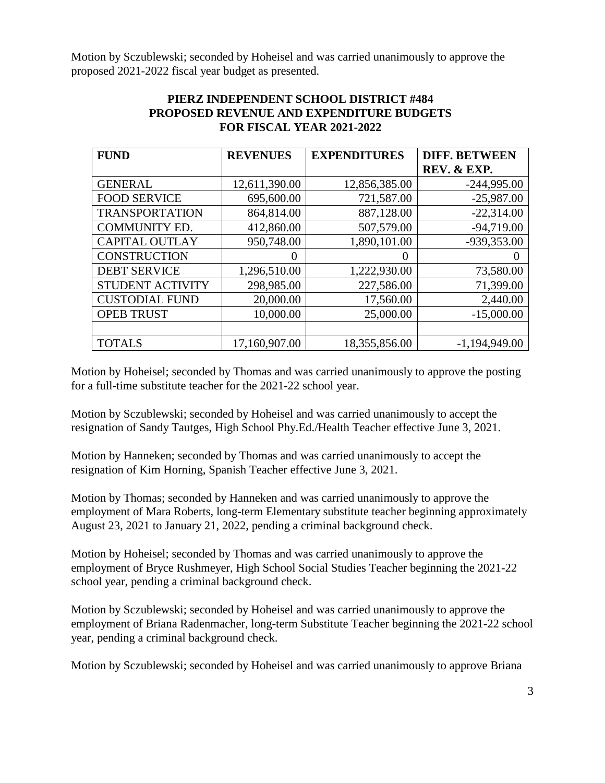Motion by Sczublewski; seconded by Hoheisel and was carried unanimously to approve the proposed 2021-2022 fiscal year budget as presented.

# **PIERZ INDEPENDENT SCHOOL DISTRICT #484 PROPOSED REVENUE AND EXPENDITURE BUDGETS FOR FISCAL YEAR 2021-2022**

| <b>FUND</b>             | <b>REVENUES</b> | <b>EXPENDITURES</b> | <b>DIFF. BETWEEN</b> |
|-------------------------|-----------------|---------------------|----------------------|
|                         |                 |                     | REV. & EXP.          |
| <b>GENERAL</b>          | 12,611,390.00   | 12,856,385.00       | $-244,995.00$        |
| <b>FOOD SERVICE</b>     | 695,600.00      | 721,587.00          | $-25,987.00$         |
| <b>TRANSPORTATION</b>   | 864,814.00      | 887,128.00          | $-22,314.00$         |
| <b>COMMUNITY ED.</b>    | 412,860.00      | 507,579.00          | $-94,719.00$         |
| <b>CAPITAL OUTLAY</b>   | 950,748.00      | 1,890,101.00        | -939,353.00          |
| <b>CONSTRUCTION</b>     | $\theta$        | $\theta$            |                      |
| <b>DEBT SERVICE</b>     | 1,296,510.00    | 1,222,930.00        | 73,580.00            |
| <b>STUDENT ACTIVITY</b> | 298,985.00      | 227,586.00          | 71,399.00            |
| <b>CUSTODIAL FUND</b>   | 20,000.00       | 17,560.00           | 2,440.00             |
| <b>OPEB TRUST</b>       | 10,000.00       | 25,000.00           | $-15,000.00$         |
|                         |                 |                     |                      |
| <b>TOTALS</b>           | 17,160,907.00   | 18,355,856.00       | $-1,194,949.00$      |

Motion by Hoheisel; seconded by Thomas and was carried unanimously to approve the posting for a full-time substitute teacher for the 2021-22 school year.

Motion by Sczublewski; seconded by Hoheisel and was carried unanimously to accept the resignation of Sandy Tautges, High School Phy.Ed./Health Teacher effective June 3, 2021.

Motion by Hanneken; seconded by Thomas and was carried unanimously to accept the resignation of Kim Horning, Spanish Teacher effective June 3, 2021.

Motion by Thomas; seconded by Hanneken and was carried unanimously to approve the employment of Mara Roberts, long-term Elementary substitute teacher beginning approximately August 23, 2021 to January 21, 2022, pending a criminal background check.

Motion by Hoheisel; seconded by Thomas and was carried unanimously to approve the employment of Bryce Rushmeyer, High School Social Studies Teacher beginning the 2021-22 school year, pending a criminal background check.

Motion by Sczublewski; seconded by Hoheisel and was carried unanimously to approve the employment of Briana Radenmacher, long-term Substitute Teacher beginning the 2021-22 school year, pending a criminal background check.

Motion by Sczublewski; seconded by Hoheisel and was carried unanimously to approve Briana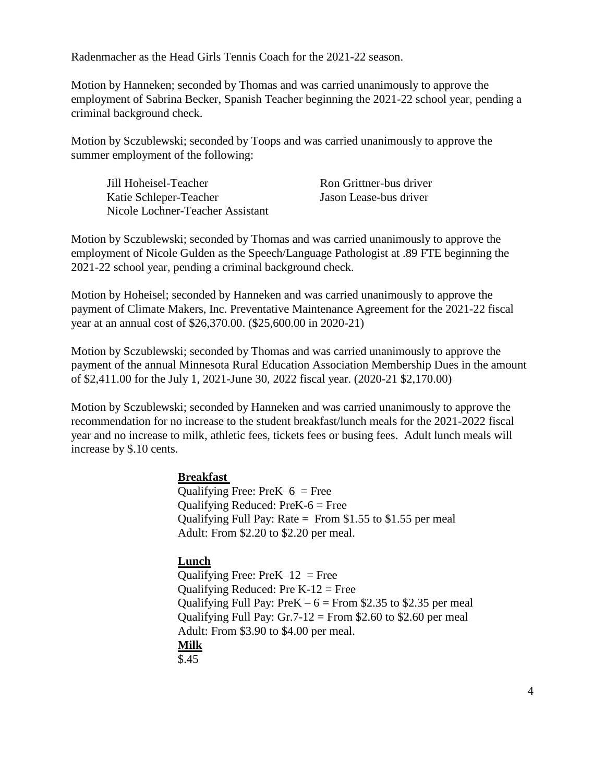Radenmacher as the Head Girls Tennis Coach for the 2021-22 season.

Motion by Hanneken; seconded by Thomas and was carried unanimously to approve the employment of Sabrina Becker, Spanish Teacher beginning the 2021-22 school year, pending a criminal background check.

Motion by Sczublewski; seconded by Toops and was carried unanimously to approve the summer employment of the following:

Jill Hoheisel-Teacher Ron Grittner-bus driver Katie Schleper-Teacher Jason Lease-bus driver Nicole Lochner-Teacher Assistant

Motion by Sczublewski; seconded by Thomas and was carried unanimously to approve the employment of Nicole Gulden as the Speech/Language Pathologist at .89 FTE beginning the 2021-22 school year, pending a criminal background check.

Motion by Hoheisel; seconded by Hanneken and was carried unanimously to approve the payment of Climate Makers, Inc. Preventative Maintenance Agreement for the 2021-22 fiscal year at an annual cost of \$26,370.00. (\$25,600.00 in 2020-21)

Motion by Sczublewski; seconded by Thomas and was carried unanimously to approve the payment of the annual Minnesota Rural Education Association Membership Dues in the amount of \$2,411.00 for the July 1, 2021-June 30, 2022 fiscal year. (2020-21 \$2,170.00)

Motion by Sczublewski; seconded by Hanneken and was carried unanimously to approve the recommendation for no increase to the student breakfast/lunch meals for the 2021-2022 fiscal year and no increase to milk, athletic fees, tickets fees or busing fees. Adult lunch meals will increase by \$.10 cents.

## **Breakfast**

Qualifying Free:  $PreK-6$  = Free Qualifying Reduced: PreK-6 = Free Qualifying Full Pay: Rate = From  $$1.55$  to  $$1.55$  per meal Adult: From \$2.20 to \$2.20 per meal.

## **Lunch**

Qualifying Free:  $PreK-12 = Free$ Qualifying Reduced: Pre  $K-12$  = Free Qualifying Full Pay: PreK  $-6$  = From \$2.35 to \$2.35 per meal Qualifying Full Pay:  $Gr.7-12 = From $2.60$  to \$2.60 per meal Adult: From \$3.90 to \$4.00 per meal. **Milk** \$.45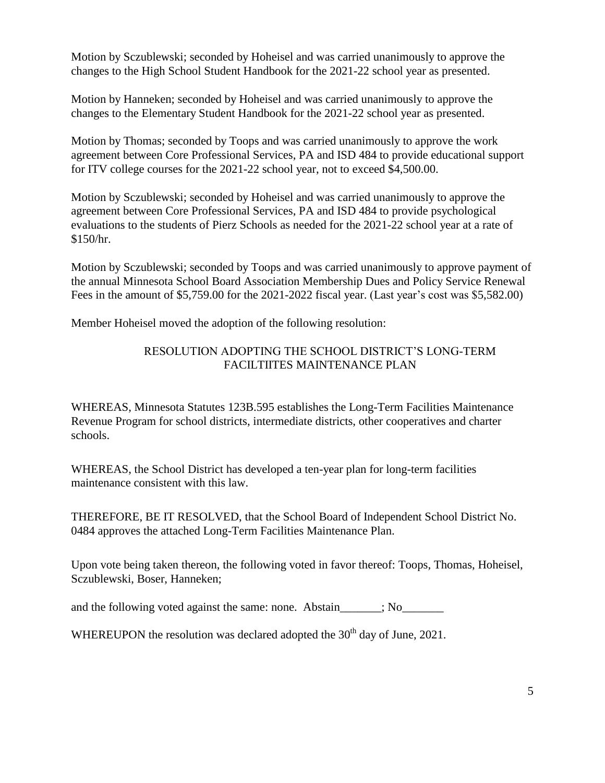Motion by Sczublewski; seconded by Hoheisel and was carried unanimously to approve the changes to the High School Student Handbook for the 2021-22 school year as presented.

Motion by Hanneken; seconded by Hoheisel and was carried unanimously to approve the changes to the Elementary Student Handbook for the 2021-22 school year as presented.

Motion by Thomas; seconded by Toops and was carried unanimously to approve the work agreement between Core Professional Services, PA and ISD 484 to provide educational support for ITV college courses for the 2021-22 school year, not to exceed \$4,500.00.

Motion by Sczublewski; seconded by Hoheisel and was carried unanimously to approve the agreement between Core Professional Services, PA and ISD 484 to provide psychological evaluations to the students of Pierz Schools as needed for the 2021-22 school year at a rate of \$150/hr.

Motion by Sczublewski; seconded by Toops and was carried unanimously to approve payment of the annual Minnesota School Board Association Membership Dues and Policy Service Renewal Fees in the amount of \$5,759.00 for the 2021-2022 fiscal year. (Last year's cost was \$5,582.00)

Member Hoheisel moved the adoption of the following resolution:

# RESOLUTION ADOPTING THE SCHOOL DISTRICT'S LONG-TERM FACILTIITES MAINTENANCE PLAN

WHEREAS, Minnesota Statutes 123B.595 establishes the Long-Term Facilities Maintenance Revenue Program for school districts, intermediate districts, other cooperatives and charter schools.

WHEREAS, the School District has developed a ten-year plan for long-term facilities maintenance consistent with this law.

THEREFORE, BE IT RESOLVED, that the School Board of Independent School District No. 0484 approves the attached Long-Term Facilities Maintenance Plan.

Upon vote being taken thereon, the following voted in favor thereof: Toops, Thomas, Hoheisel, Sczublewski, Boser, Hanneken;

and the following voted against the same: none. Abstain\_\_\_\_\_; No\_\_\_\_\_\_\_\_

WHEREUPON the resolution was declared adopted the  $30<sup>th</sup>$  day of June, 2021.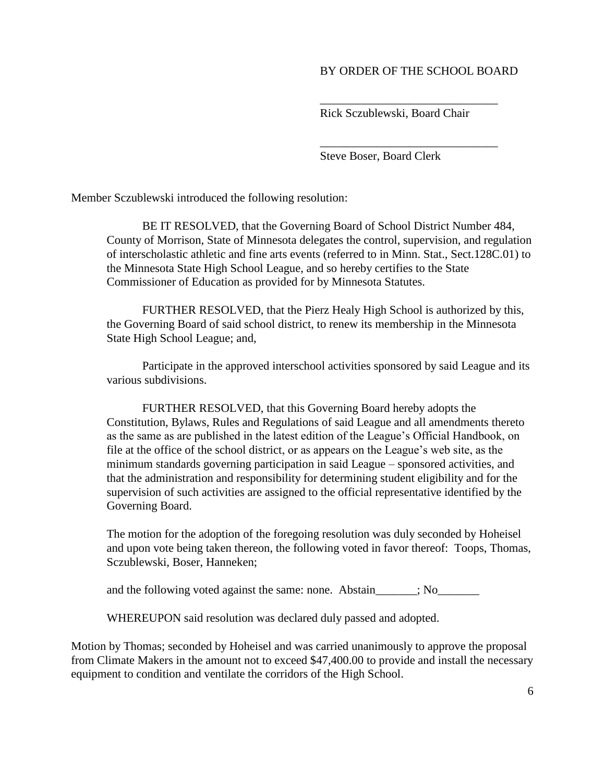### BY ORDER OF THE SCHOOL BOARD

Rick Sczublewski, Board Chair

\_\_\_\_\_\_\_\_\_\_\_\_\_\_\_\_\_\_\_\_\_\_\_\_\_\_\_\_\_\_

\_\_\_\_\_\_\_\_\_\_\_\_\_\_\_\_\_\_\_\_\_\_\_\_\_\_\_\_\_\_

Steve Boser, Board Clerk

Member Sczublewski introduced the following resolution:

BE IT RESOLVED, that the Governing Board of School District Number 484, County of Morrison, State of Minnesota delegates the control, supervision, and regulation of interscholastic athletic and fine arts events (referred to in Minn. Stat., Sect.128C.01) to the Minnesota State High School League, and so hereby certifies to the State Commissioner of Education as provided for by Minnesota Statutes.

FURTHER RESOLVED, that the Pierz Healy High School is authorized by this, the Governing Board of said school district, to renew its membership in the Minnesota State High School League; and,

Participate in the approved interschool activities sponsored by said League and its various subdivisions.

FURTHER RESOLVED, that this Governing Board hereby adopts the Constitution, Bylaws, Rules and Regulations of said League and all amendments thereto as the same as are published in the latest edition of the League's Official Handbook, on file at the office of the school district, or as appears on the League's web site, as the minimum standards governing participation in said League – sponsored activities, and that the administration and responsibility for determining student eligibility and for the supervision of such activities are assigned to the official representative identified by the Governing Board.

The motion for the adoption of the foregoing resolution was duly seconded by Hoheisel and upon vote being taken thereon, the following voted in favor thereof: Toops, Thomas, Sczublewski, Boser, Hanneken;

and the following voted against the same: none. Abstain\_\_\_\_\_; No\_\_\_\_\_\_\_\_

WHEREUPON said resolution was declared duly passed and adopted.

Motion by Thomas; seconded by Hoheisel and was carried unanimously to approve the proposal from Climate Makers in the amount not to exceed \$47,400.00 to provide and install the necessary equipment to condition and ventilate the corridors of the High School.